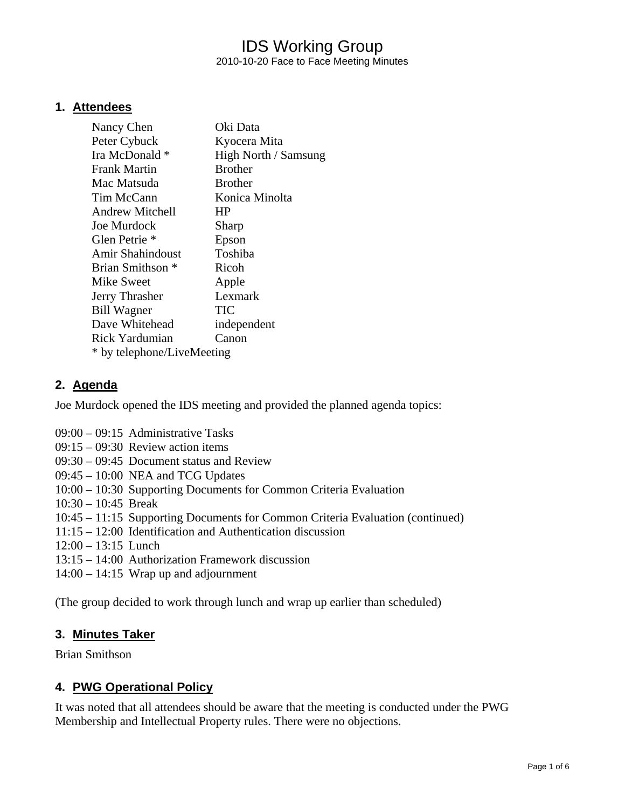# IDS Working Group 2010-10-20 Face to Face Meeting Minutes

### **1. Attendees**

| Nancy Chen                 | Oki Data             |
|----------------------------|----------------------|
| Peter Cybuck               | Kyocera Mita         |
| Ira McDonald *             | High North / Samsung |
| <b>Frank Martin</b>        | <b>Brother</b>       |
| Mac Matsuda                | <b>Brother</b>       |
| Tim McCann                 | Konica Minolta       |
| <b>Andrew Mitchell</b>     | <b>HP</b>            |
| Joe Murdock                | Sharp                |
| Glen Petrie <sup>*</sup>   | Epson                |
| Amir Shahindoust           | Toshiba              |
| Brian Smithson *           | Ricoh                |
| Mike Sweet                 | Apple                |
| Jerry Thrasher             | Lexmark              |
| <b>Bill Wagner</b>         | TIC                  |
| Dave Whitehead             | independent          |
| Rick Yardumian             | Canon                |
| * by telephone/LiveMeeting |                      |

## **2. Agenda**

Joe Murdock opened the IDS meeting and provided the planned agenda topics:

- 09:00 09:15 Administrative Tasks
- 09:15 09:30 Review action items
- 09:30 09:45 Document status and Review
- 09:45 10:00 NEA and TCG Updates
- 10:00 10:30 Supporting Documents for Common Criteria Evaluation
- 10:30 10:45 Break
- 10:45 11:15 Supporting Documents for Common Criteria Evaluation (continued)
- 11:15 12:00 Identification and Authentication discussion
- 12:00 13:15 Lunch
- 13:15 14:00 Authorization Framework discussion
- 14:00 14:15 Wrap up and adjournment

(The group decided to work through lunch and wrap up earlier than scheduled)

### **3. Minutes Taker**

Brian Smithson

## **4. PWG Operational Policy**

It was noted that all attendees should be aware that the meeting is conducted under the PWG Membership and Intellectual Property rules. There were no objections.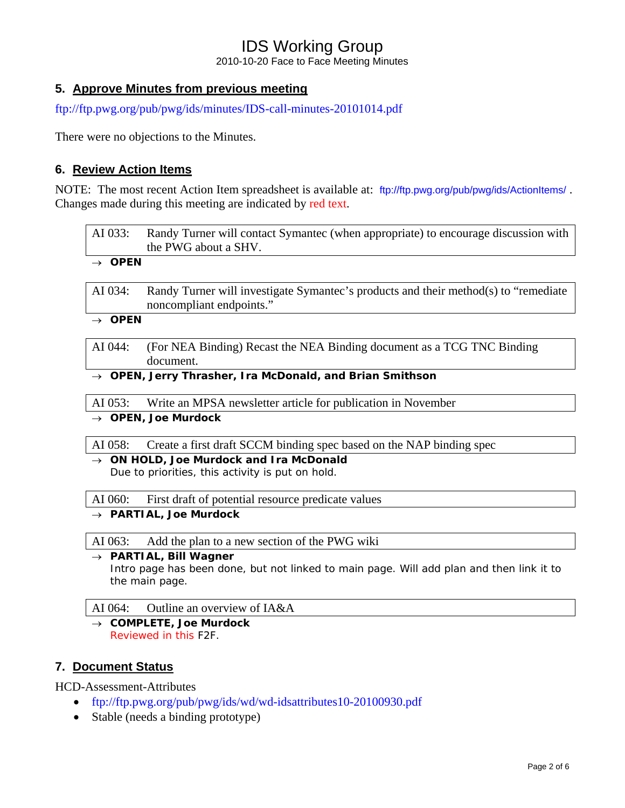2010-10-20 Face to Face Meeting Minutes

# **5. Approve Minutes from previous meeting**

<ftp://ftp.pwg.org/pub/pwg/ids/minutes/IDS-call-minutes-20101014.pdf>

There were no objections to the Minutes.

## **6. Review Action Items**

NOTE: The most recent Action Item spreadsheet is available at: <ftp://ftp.pwg.org/pub/pwg/ids/ActionItems/>. Changes made during this meeting are indicated by red text.

| AI 033:                         | Randy Turner will contact Symantec (when appropriate) to encourage discussion with  |  |
|---------------------------------|-------------------------------------------------------------------------------------|--|
|                                 | the PWG about a SHV.                                                                |  |
| $\rightarrow$ OPEN              |                                                                                     |  |
|                                 |                                                                                     |  |
| AI 034:                         | Randy Turner will investigate Symantec's products and their method(s) to "remediate |  |
|                                 | noncompliant endpoints."                                                            |  |
| $\rightarrow$ OPEN              |                                                                                     |  |
|                                 |                                                                                     |  |
| AI 044:                         | (For NEA Binding) Recast the NEA Binding document as a TCG TNC Binding              |  |
|                                 | document.                                                                           |  |
|                                 | $\rightarrow$ OPEN, Jerry Thrasher, Ira McDonald, and Brian Smithson                |  |
|                                 |                                                                                     |  |
| AI 053:                         | Write an MPSA newsletter article for publication in November                        |  |
| $\rightarrow$ OPEN, Joe Murdock |                                                                                     |  |
|                                 |                                                                                     |  |
| $\Delta T$ $0.58$               | Create a first draft $SCCM$ binding spec based on the $N\Delta P$ binding spec      |  |

 $\mathcal{L}$  reate a first draft SCCM binding spec based on the NAP binding spec

→ *ON HOLD, Joe Murdock and Ira McDonald*  Due to priorities, this activity is put on hold.

AI 060: First draft of potential resource predicate values

→ *PARTIAL, Joe Murdock* 

AI 063: Add the plan to a new section of the PWG wiki

→ *PARTIAL, Bill Wagner*  Intro page has been done, but not linked to main page. Will add plan and then link it to the main page.

AI 064: Outline an overview of IA&A

→ *COMPLETE, Joe Murdock*  Reviewed in this F2F.

## **7. Document Status**

HCD-Assessment-Attributes

- <ftp://ftp.pwg.org/pub/pwg/ids/wd/wd-idsattributes10-20100930.pdf>
- Stable (needs a binding prototype)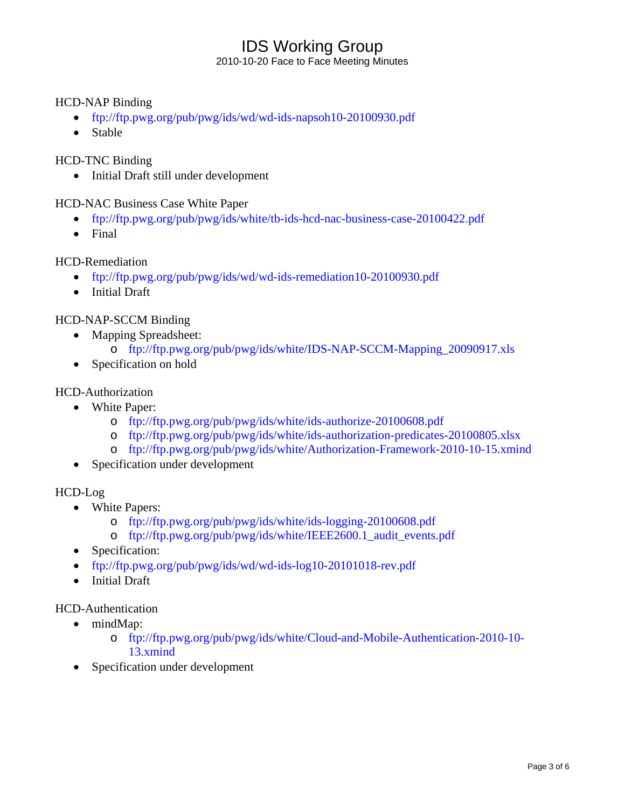2010-10-20 Face to Face Meeting Minutes

### HCD-NAP Binding

- <ftp://ftp.pwg.org/pub/pwg/ids/wd/wd-ids-napsoh10-20100930.pdf>
- Stable

### HCD-TNC Binding

• Initial Draft still under development

HCD-NAC Business Case White Paper

- <ftp://ftp.pwg.org/pub/pwg/ids/white/tb-ids-hcd-nac-business-case-20100422.pdf>
- Final

### HCD-Remediation

- <ftp://ftp.pwg.org/pub/pwg/ids/wd/wd-ids-remediation10-20100930.pdf>
- Initial Draft

## HCD-NAP-SCCM Binding

- Mapping Spreadsheet:
	- o [ftp://ftp.pwg.org/pub/pwg/ids/white/IDS-NAP-SCCM-Mapping\\_20090917.xls](ftp://ftp.pwg.org/pub/pwg/ids/white/IDS-NAP-SCCM-Mapping_20090917.xls)
- Specification on hold

### HCD-Authorization

- White Paper:
	- o <ftp://ftp.pwg.org/pub/pwg/ids/white/ids-authorize-20100608.pdf>
	- o <ftp://ftp.pwg.org/pub/pwg/ids/white/ids-authorization-predicates-20100805.xlsx>
	- o <ftp://ftp.pwg.org/pub/pwg/ids/white/Authorization-Framework-2010-10-15.xmind>
- Specification under development

### HCD-Log

- White Papers:
	- o <ftp://ftp.pwg.org/pub/pwg/ids/white/ids-logging-20100608.pdf>
	- o [ftp://ftp.pwg.org/pub/pwg/ids/white/IEEE2600.1\\_audit\\_events.pdf](ftp://ftp.pwg.org/pub/pwg/ids/white/IEEE2600.1_audit_events.pdf)
- Specification:
- [ftp://ftp.pwg.org/pub/pwg/ids/wd/wd-ids-log10-20101018-rev.pdf](ftp://ftp.pwg.org/pub/pwg/ids/wd/wd-ids-log10-20100803.pdf)
- Initial Draft

# HCD-Authentication

- mindMap:
	- o [ftp://ftp.pwg.org/pub/pwg/ids/white/Cloud-and-Mobile-Authentication-2010-10-](ftp://ftp.pwg.org/pub/pwg/ids/white/Cloud-and-Mobile-Authentication-2010-10-13.xmind) [13.xmind](ftp://ftp.pwg.org/pub/pwg/ids/white/Cloud-and-Mobile-Authentication-2010-10-13.xmind)
- Specification under development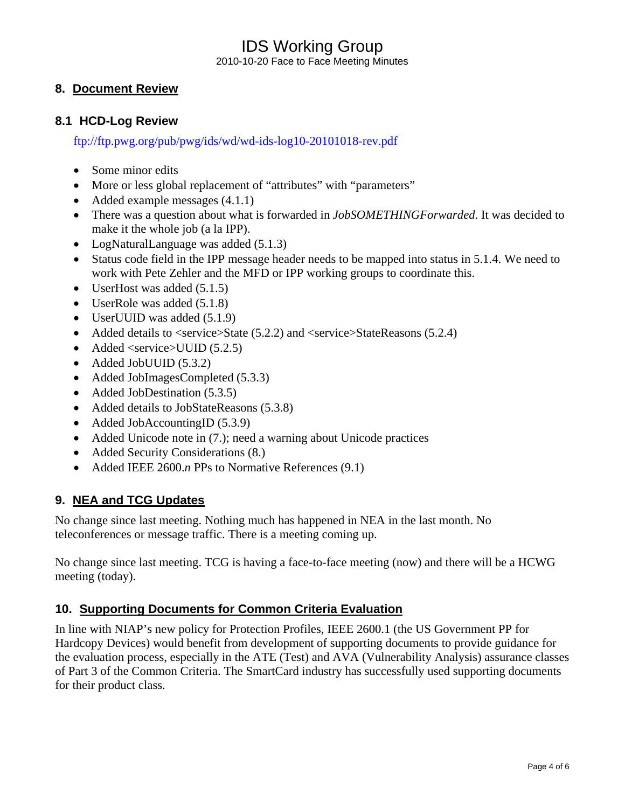2010-10-20 Face to Face Meeting Minutes

# **8. Document Review**

## **8.1 HCD-Log Review**

<ftp://ftp.pwg.org/pub/pwg/ids/wd/wd-ids-log10-20101018-rev.pdf>

- Some minor edits
- More or less global replacement of "attributes" with "parameters"
- Added example messages  $(4.1.1)$
- There was a question about what is forwarded in *JobSOMETHINGForwarded*. It was decided to make it the whole job (a la IPP).
- LogNaturalLanguage was added (5.1.3)
- Status code field in the IPP message header needs to be mapped into status in 5.1.4. We need to work with Pete Zehler and the MFD or IPP working groups to coordinate this.
- UserHost was added  $(5.1.5)$
- UserRole was added  $(5.1.8)$
- UserUUID was added  $(5.1.9)$
- Added details to  $\langle$ service $>$ State (5.2.2) and  $\langle$ service $>$ StateReasons (5.2.4)
- Added <service>UUID (5.2.5)
- Added JobUUID (5.3.2)
- Added JobImagesCompleted (5.3.3)
- Added JobDestination (5.3.5)
- Added details to JobStateReasons (5.3.8)
- Added JobAccountingID (5.3.9)
- Added Unicode note in (7.); need a warning about Unicode practices
- Added Security Considerations (8.)
- Added IEEE 2600.*n* PPs to Normative References (9.1)

## **9. NEA and TCG Updates**

No change since last meeting. Nothing much has happened in NEA in the last month. No teleconferences or message traffic. There is a meeting coming up.

No change since last meeting. TCG is having a face-to-face meeting (now) and there will be a HCWG meeting (today).

# **10. Supporting Documents for Common Criteria Evaluation**

In line with NIAP's new policy for Protection Profiles, IEEE 2600.1 (the US Government PP for Hardcopy Devices) would benefit from development of supporting documents to provide guidance for the evaluation process, especially in the ATE (Test) and AVA (Vulnerability Analysis) assurance classes of Part 3 of the Common Criteria. The SmartCard industry has successfully used supporting documents for their product class.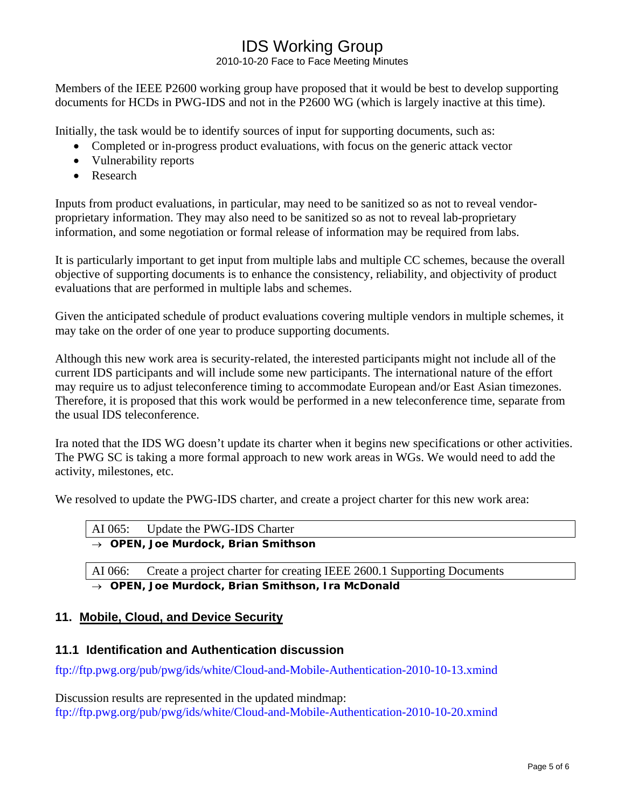2010-10-20 Face to Face Meeting Minutes

Members of the IEEE P2600 working group have proposed that it would be best to develop supporting documents for HCDs in PWG-IDS and not in the P2600 WG (which is largely inactive at this time).

Initially, the task would be to identify sources of input for supporting documents, such as:

- Completed or in-progress product evaluations, with focus on the generic attack vector
- Vulnerability reports
- Research

Inputs from product evaluations, in particular, may need to be sanitized so as not to reveal vendorproprietary information. They may also need to be sanitized so as not to reveal lab-proprietary information, and some negotiation or formal release of information may be required from labs.

It is particularly important to get input from multiple labs and multiple CC schemes, because the overall objective of supporting documents is to enhance the consistency, reliability, and objectivity of product evaluations that are performed in multiple labs and schemes.

Given the anticipated schedule of product evaluations covering multiple vendors in multiple schemes, it may take on the order of one year to produce supporting documents.

Although this new work area is security-related, the interested participants might not include all of the current IDS participants and will include some new participants. The international nature of the effort may require us to adjust teleconference timing to accommodate European and/or East Asian timezones. Therefore, it is proposed that this work would be performed in a new teleconference time, separate from the usual IDS teleconference.

Ira noted that the IDS WG doesn't update its charter when it begins new specifications or other activities. The PWG SC is taking a more formal approach to new work areas in WGs. We would need to add the activity, milestones, etc.

We resolved to update the PWG-IDS charter, and create a project charter for this new work area:

|                                                 | AI 065: Update the PWG-IDS Charter |
|-------------------------------------------------|------------------------------------|
| $\rightarrow$ OPEN, Joe Murdock, Brian Smithson |                                    |

AI 066: Create a project charter for creating IEEE 2600.1 Supporting Documents → *OPEN, Joe Murdock, Brian Smithson, Ira McDonald* 

## **11. Mobile, Cloud, and Device Security**

## **11.1 Identification and Authentication discussion**

<ftp://ftp.pwg.org/pub/pwg/ids/white/Cloud-and-Mobile-Authentication-2010-10-13.xmind>

Discussion results are represented in the updated mindmap: <ftp://ftp.pwg.org/pub/pwg/ids/white/Cloud-and-Mobile-Authentication-2010-10-20.xmind>